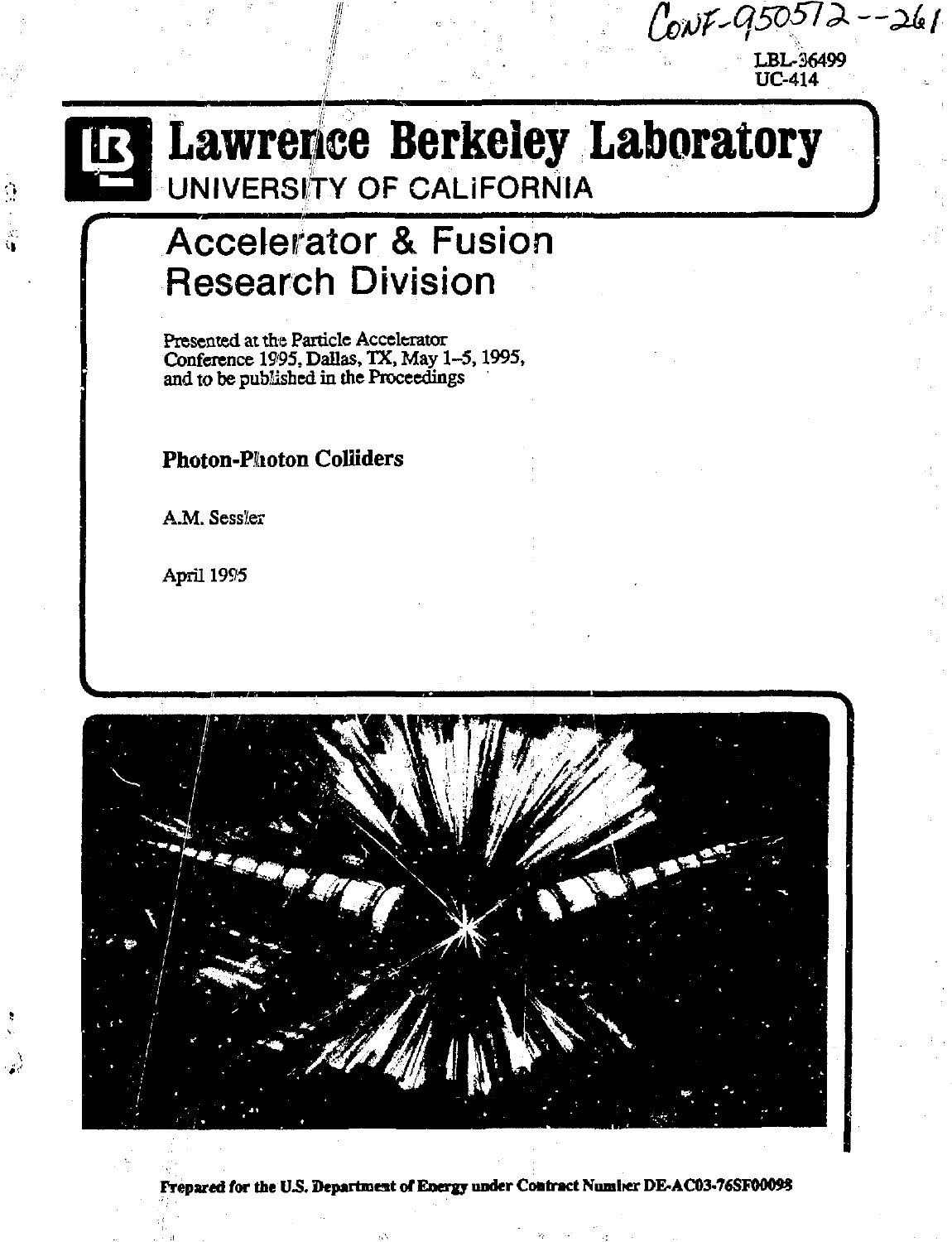**Lawrence Berkeley Laboratory**  UNIVERSITY OF CALIFORNIA

Cont-950572--261 LBL-36499 UC-414

# Accelerator & Fusion Research Division

Presented at the Particle Accelerator Conference 1995, Dallas, TX, May 1-5,1995, and to be published in the Proceedings

# Photon-Photon Colliders

A.M. Sessler

LB

 $\frac{d}{dt}$ 

April 1995



**Prepared for the** *VS.* **Departmeat of Energy under Contract Numlier DE-AC03-74SF0009S**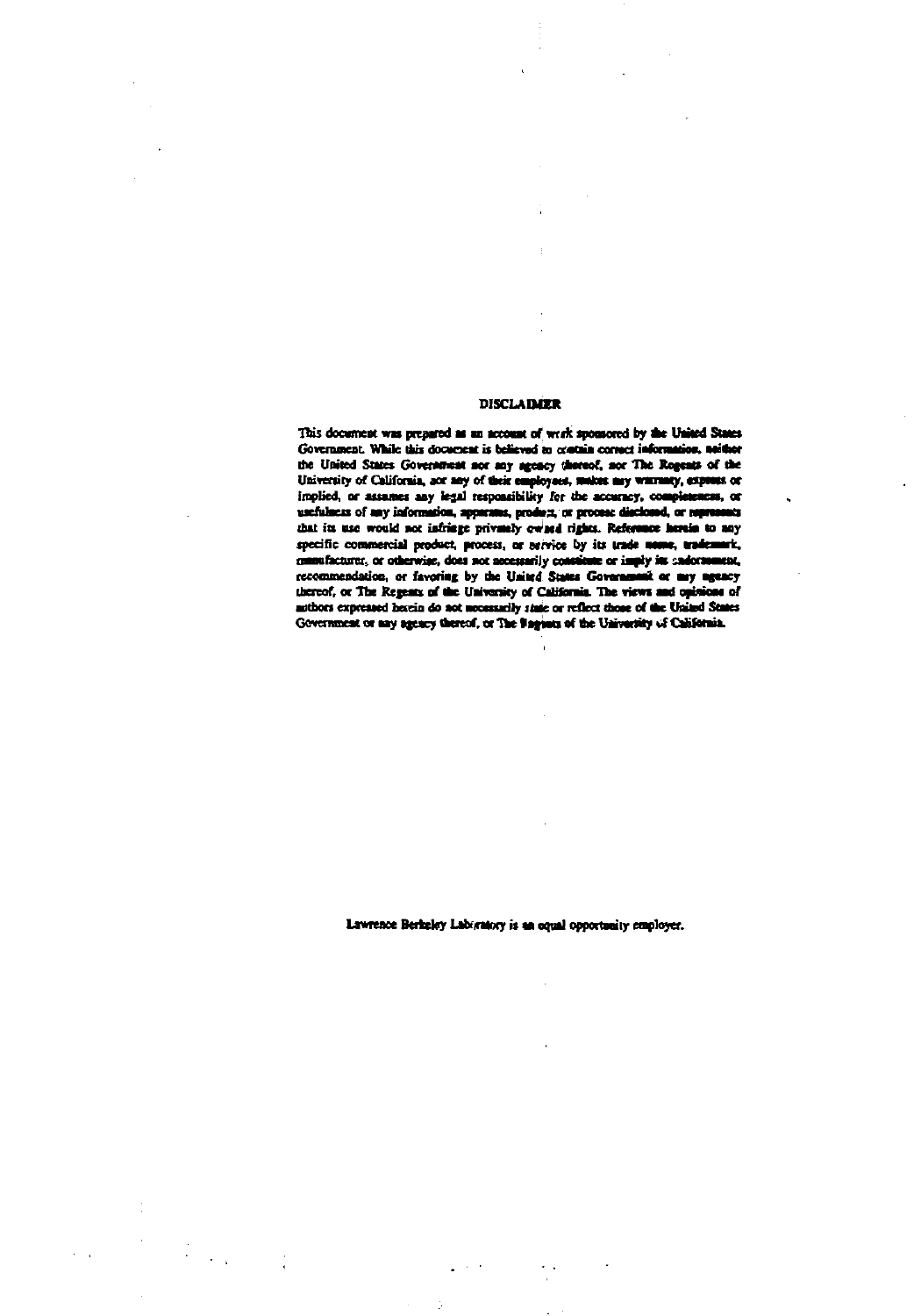#### **DISCLAIMER**

This document was prepared as an account of work sponsored by the United States<br>Government. While this document is believed to contain correct information, saidner<br>the United States Government nor any agency thereof, nor usclulacii of any information, apparates, prodect, or process disclosed, or represence that its use would not isfringe privately owaed rights. Reference herein to any specific commercial product, process, or service by its trade name, trademark, **manufacture^ or oderwise. does sot aooessarily coawilale or iaapty** *m* **ladorsaawat.**  recommendation, or favoring by the United States Government or any ageacy thereof, or The Regents of the University of California. The views and opinions of<br>authors expressed herein do not mosassitily rank or reflect those of the University<br>Government or any agency thereof, or The Bagnats of the

Lawrence Berkeley Labimtory is an equal opportonity employer.

 $\sim 10^{-10}$ 

 $\ddotsc$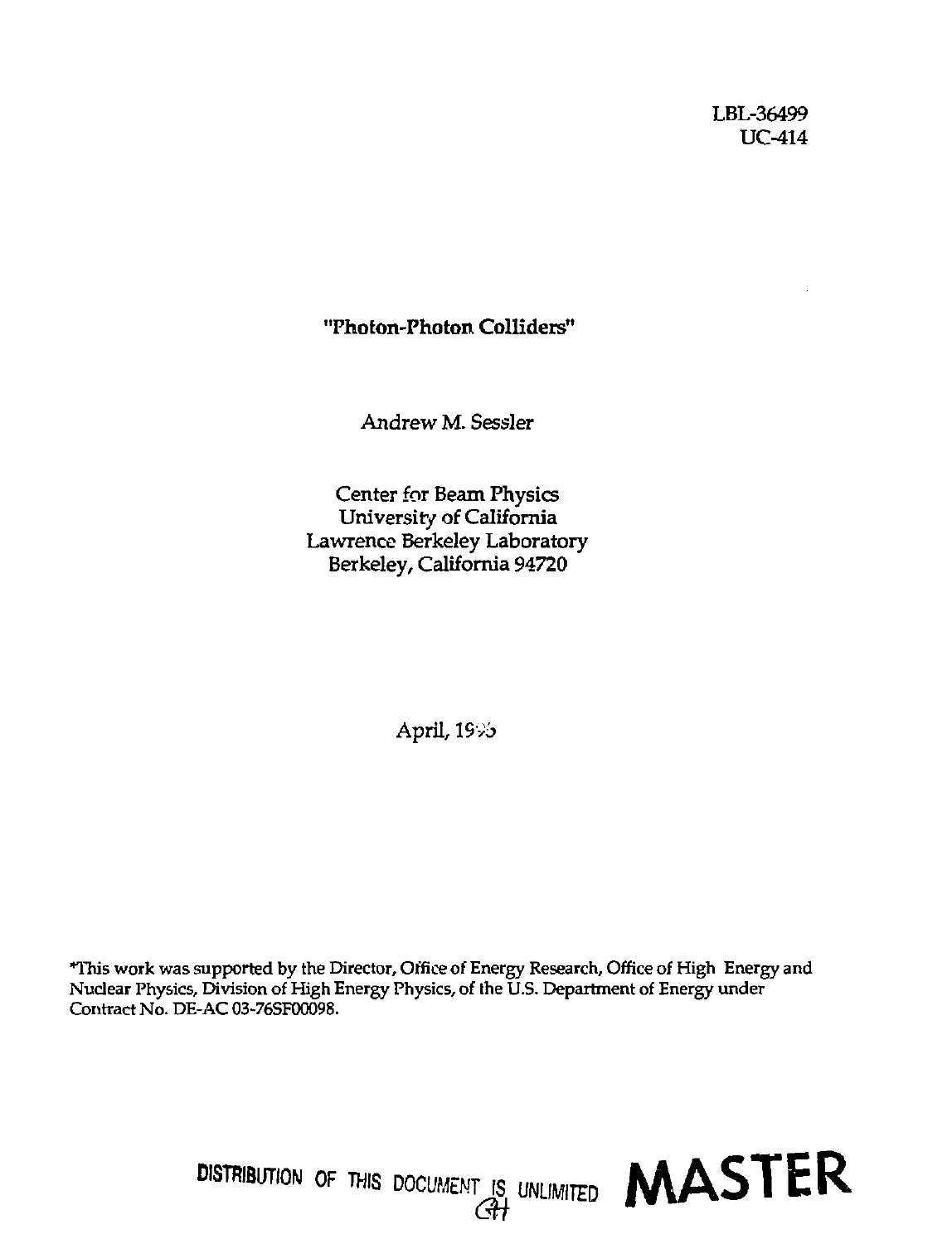LBL-36499 UC-414

"Photon-Photon Colliders"

Andrew M. Sessler

Center for Beam Physics University of California Lawrence Berkeley Laboratory Berkeley, California 94720

April, 19%

This work was supported by the Director, Office of Energy Research, Office of High Energy and Nuclear Physics, Division of High Energy Physics, of the U.S. Department of Energy under Contract No. DE-AC 03-76SF00098.

*<3tf* 

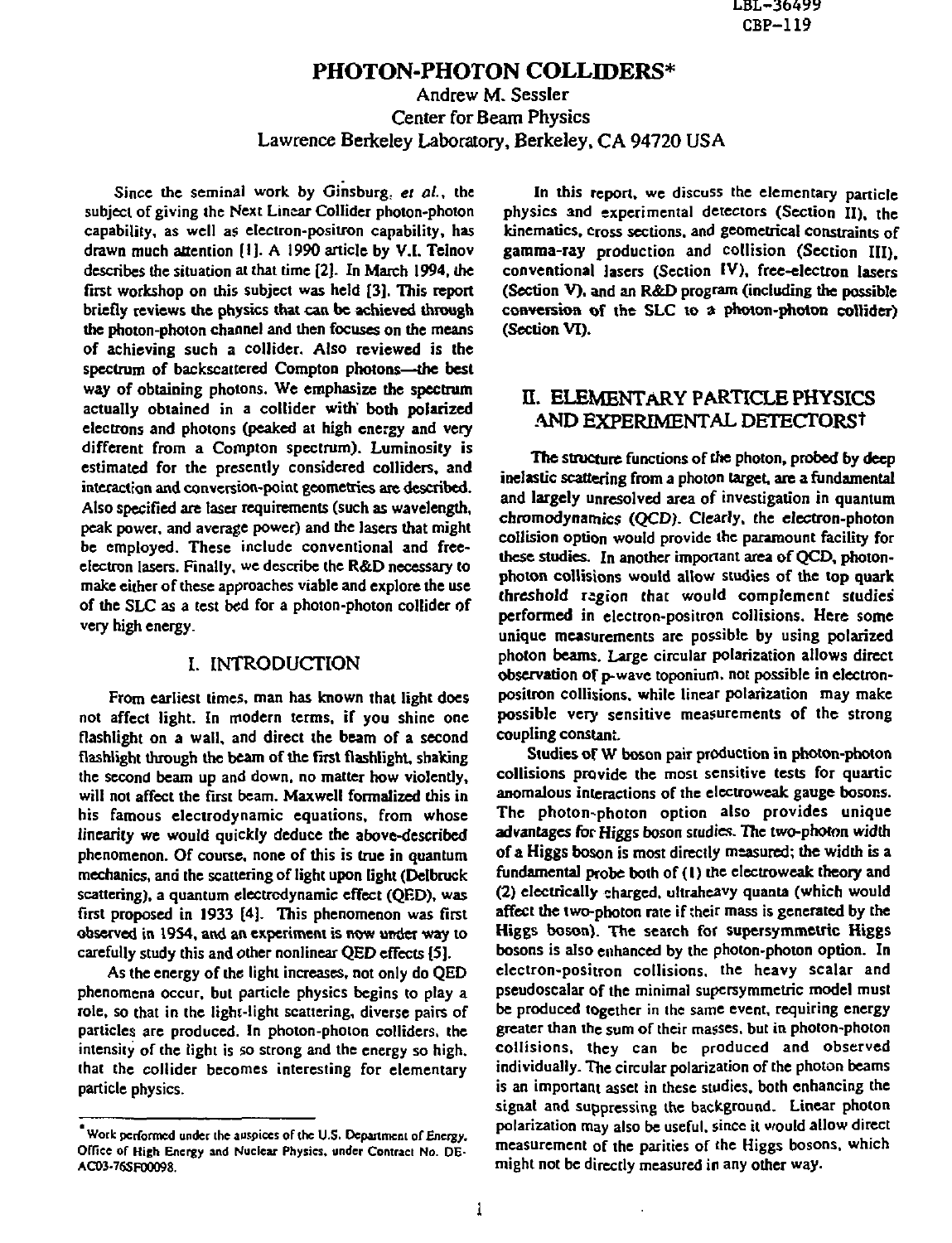## **PHOTON-PHOTON COLLIDERS\***  Andrew M. Sessler Center for Beam Physics Lawrence Berkeley Laboratory, Berkeley, CA 94720 USA

**Since the seminal work by Ginsburg;**  *et at.,* **the subject of giving the Next Linear Collider photon-photon capability, as well as electron-positron capability, has drawn much attention (1). A 1990 article by V.£. Telnov describes the situation at that time [2J. In March 1994, the first workshop on this subject was held [3]. This report briefly reviews the physics that can be achieved through the photon-photon channel and then focuses on the means of achieving such a collider. Also reviewed is the spectrum of backscattered Compton photons—the best way of obtaining photons. We emphasize the spectrum actually obtained in a collider with' both polarized electrons and photons (peaked at high energy and very different from a Compton spectrum). Luminosity is estimated for the presently considered colliders, and interaction and conversion-point geometries are described. Also specified are laser requirements (such as wavelength, peak power, and average power) and the lasers that might be employed. These include conventional and freeelectron lasers. Finally, we describe the R&D necessary to make either of these approaches viable and explore the use of the SLC as a test bed for a photon-photon collider of very high energy.** 

#### I. INTRODUCTION

**From earliest times, man has known that light does not affect light. In modern terms, if you shine one flashlight on a wall, and direct the beam of a second flashlight through the beam of the first flashlight, shaking the second beam up and down, no matter how violently, will not affect the first beam. Maxwell formalized this in his famous electrodynamic equations, from whose linearity we would quickly deduce the above-described phenomenon. Of course, none of this is true in quantum mechanics, and the scattering of light upon light (Delbruck scattering), a quantum electrcdynamic effect (QBD), was first proposed in 1933 (4). This phenomenon was first observed in 19S4. and an experiment is now under way to carefully study this and other nonlinear QED effects (5).** 

**As the energy of the light increases, not only do QED phenomena occur, but particle physics begins to play a role, so that in the light-light scattering, diverse pairs of particles are produced. In photon-photon colliders, the intensity of the light is so strong and the energy so high, that the collider becomes interesting for elementary particle physics.** 

**In this report, we discuss the elementary particle physics and experimental detectors (Section II), the kinematics, cross sections, and geometrical constraints of gamma-ray production and collision (Section III), conventional lasers (Section IV), free-electron lasers (Section V), and an R&D program (including the possible conversion of the SLC to a photon-photon collider) (Section VI).** 

## II. ELEMENTARY PARTICLE PHYSICS AND EXPERIMENTAL DETECTORSt

**The structure functions of the photon, probed by deep inelastic scattering from a photon target, are a fundamental and largely unresolved area of investigation in quantum chromodynamics (QCD). Clearly, the electron-photon collision option would provide the paramount facility for these studies. In another important area of QCD, photonphoton collisions would allow studies of the top quark threshold region that would complement studies' performed in electron-positron collisions. Here some unique measurements are possible by using polarized photon beams. Large circular polarization allows direct observation of p-wave toponium. not possible in electronpositron collisions, while linear polarization may make possible very sensitive measurements of the strong coupling constant.** 

**Studies of W boson pair production in photon-photon collisions provide the most sensitive tests for quartic anomalous interactions of the electroweak gauge bosons. The photon-photon option also provides unique advantages for Higgs boson studies. The two-photon width of a Higgs boson is most directly measured; the width is a fundamental probe both of (I) the electroweak theory and (2) electrically charged, ultraheavy quanta (which would affect the two-photon rate if their mass is generated by the Higgs boson). The search for supersymmettic Higgs bosons is also enhanced by the photon-photon option. In electron-positron collisions, the heavy scalar and pseudoscalar of the minimal supersymmetric model must be produced together in the same event, requiring energy greater than the sum of their masses, but in photon-photon collisions, they can be produced and observed individually. The circular polarization of the photon beams is an important asset in these studies, both enhancing the signal and suppressing the background. Linear photon polarization may also be useful, since it would allow direct measurement of the parities of the Higgs bosons, which might not be directly measured in any other way.** 

**Work performed under the auspices of the U.S. Department of Energy,**  Office of High Energy and Nuclear Physics, under Contract No. DE-**AC03.76SF00098.**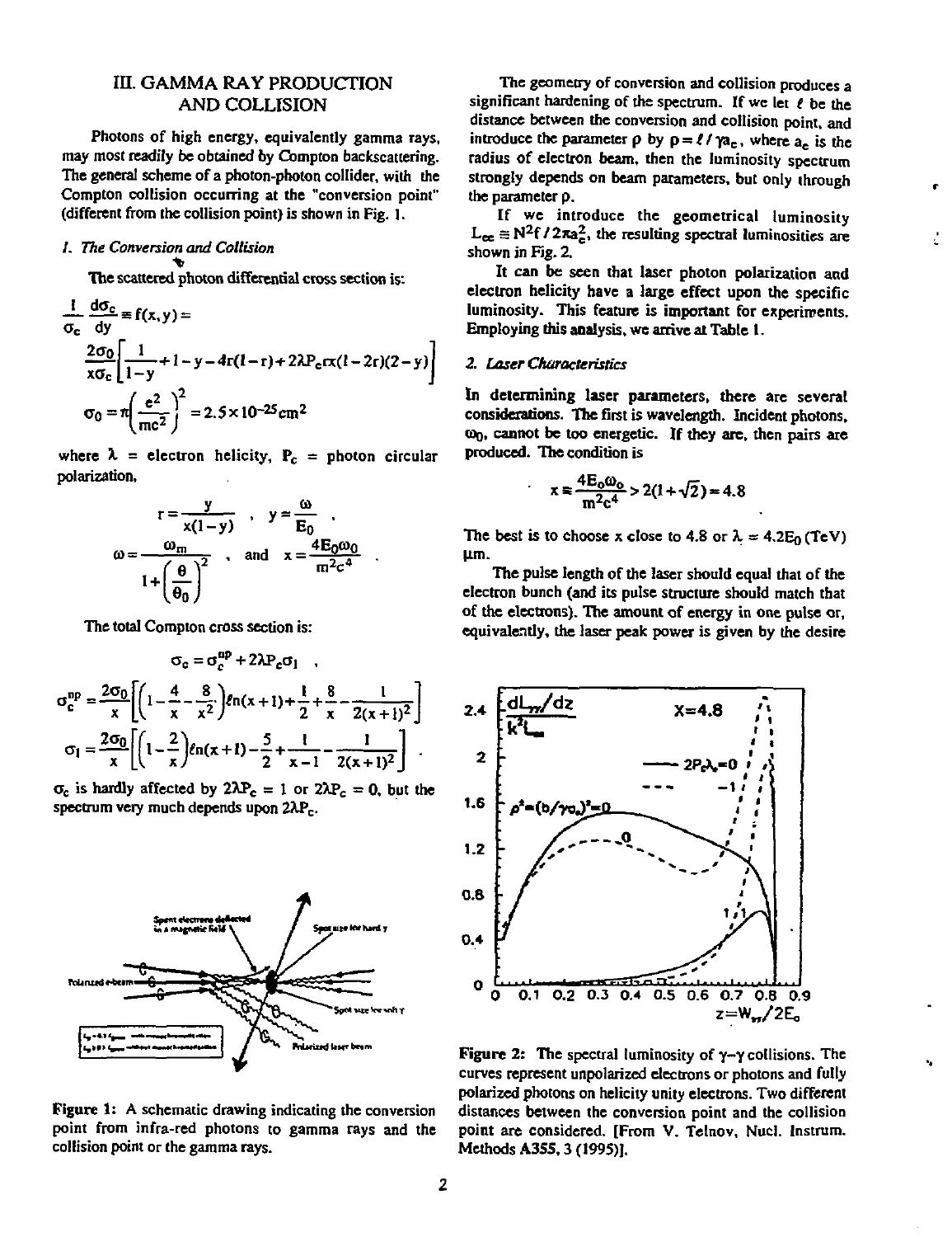## **m. GAMMA RAY PRODUCTION AND COLLISION**

**Photons of high energy, equivalently gamma rays, may most readily be obtained by Compton backscattering. The general scheme of a photon-photon collider, with the Compton collision occurring at the "conversion point" (different from the collision point) is shown in Fig. 1.** 

#### **/.** *The Conversion and Collision*

**The scattered photon differential cross section is:** 

$$
\frac{1}{\sigma_c} \frac{d\sigma_c}{dy} = f(x,y) =
$$
\n
$$
\frac{2\sigma_0}{x\sigma_c} \left[ \frac{1}{1-y} + 1 - y - 4r(1-r) + 2\lambda P_c r x (1 - 2r)(2 - y) \right]
$$
\n
$$
\sigma_0 = \pi \left( \frac{e^2}{mc^2} \right)^2 = 2.5 \times 10^{-25} cm^2
$$

where  $\lambda$  = electron helicity,  $P_c$  = photon circular **polarization,** 



**The total Compton cross section is:** 

$$
\sigma_c = \sigma_c^{cp} + 2\lambda P_c \sigma_1
$$
  
\n
$$
\sigma_c^{np} = \frac{2\sigma_0}{x} \left[ \left( 1 - \frac{4}{x} - \frac{8}{x^2} \right) \ln(x+1) + \frac{1}{2} + \frac{8}{x} - \frac{1}{2(x+1)^2} \right]
$$
  
\n
$$
\sigma_1 = \frac{2\sigma_0}{x} \left[ \left( 1 - \frac{2}{x} \right) \ln(x+1) - \frac{5}{2} + \frac{1}{x-1} - \frac{1}{2(x+1)^2} \right].
$$

 $\sigma_c$  is hardly affected by  $2\lambda P_c = 1$  or  $2\lambda P_c = 0$ , but the spectrum very much depends upon 2AP<sub>c</sub>.



**Figure 1: A schematic drawing indicating the conversion point from infra-red photons to gamma rays and the collision point or the gamma rays.** 

**The geometry of conversion and collision produces a significant hardening of the spectrum. If we let** *t* **be the distance between the conversion and collision point, and introduce the parameter**  $\rho$  **by**  $\rho = l / \gamma a_e$ **, where**  $a_e$  **is the radius of electron beam, then the luminosity spectrum strongly depends on beam parameters, but only through the parameter p.** 

**If we introduce the geometrical luminosity**   $L_{cc} \approx N^2 f / 2\pi a_e^2$ , the resulting spectral luminosities are **shown in Fig.** *2.* 

**It can be seen that laser photon polarization and electron helicity have a large effect upon the specific luminosity. This feature is important for experiments. Employing this analysis, we arrive at Table 1.** 

#### **2.** *Laser Characteristics*

**In determining laser parameters, there are several considerations. The first is wavelength. Incident photons, con, cannot be too energetic. If they are, then pairs are produced. The condition is** 

$$
x = \frac{4E_0\omega_0}{m^2c^4} > 2(1+\sqrt{2}) = 4.8
$$

The best is to choose x close to 4.8 or  $\lambda = 4.2E_0$  (TeV) **|im.** 

**The pulse length of the laser should equal that of the electron bunch (and its pulse structure should match that of the electrons). The amount of energy in one pulse or, equivalently, the laser peak power is given by the desire** 



**Figure 2: The spectral luminosity of y-y collisions. The curves represent unpolarized electrons or photons and fully polarized photons on helicity unity electrons. Two different distances between the conversion point and the collision point are considered. [From V. Telnov, Nucl. Instrum. Methods A3S5,3 (1995)1.**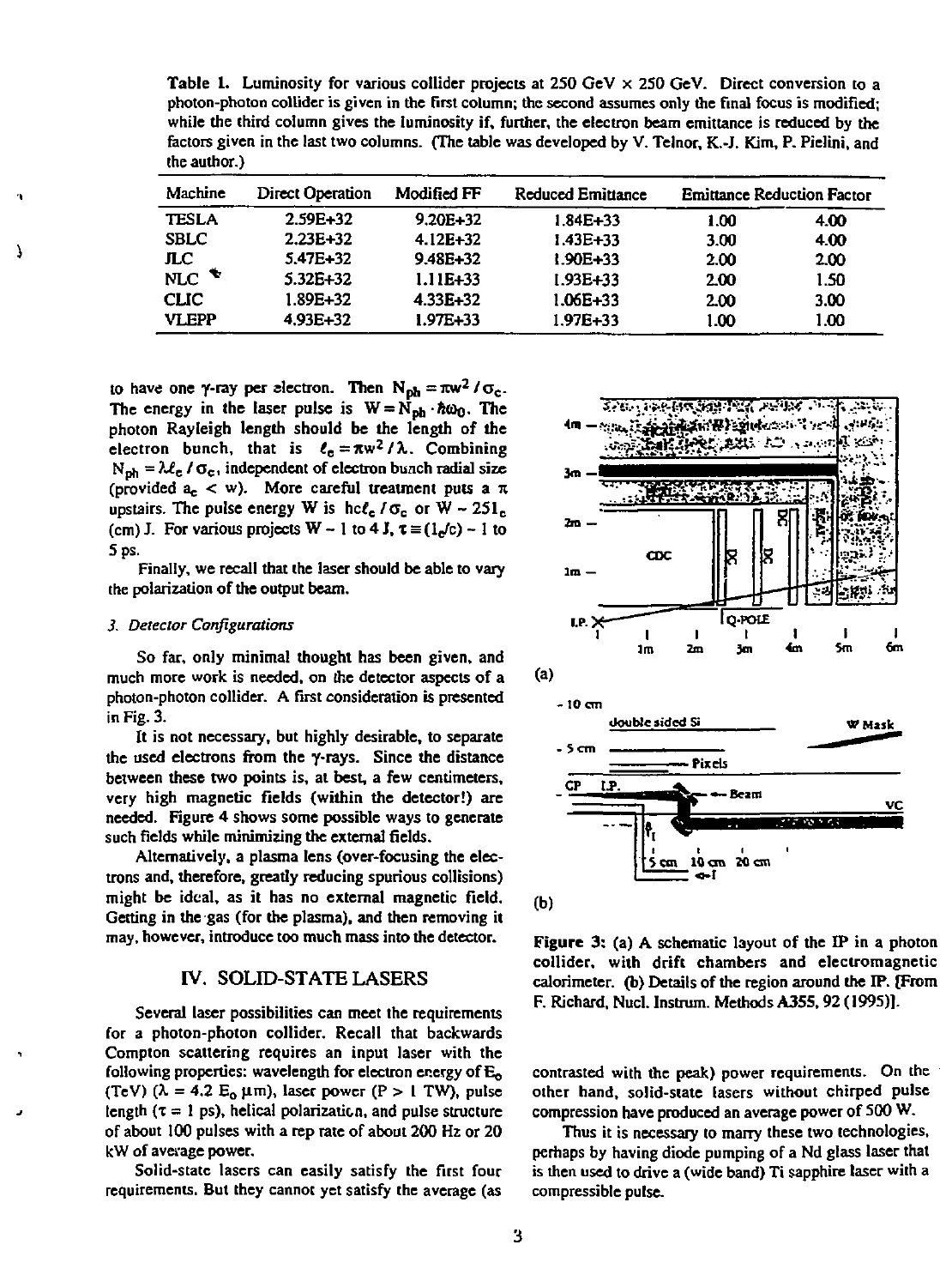**Table 1. Luminosity for various collider projects at 250 GeV x 250 GeV. Direct conversion to a photon-photon collider is given in the first column; the second assumes only the final focus is modified; while the third column gives the luminosity if, further, the electron beam emittance is reduced by the factors given in the last two columns. (The table was developed by V. Telnor, K.-J. Kim, P. Pielini, and the author.)** 

| Machine       | Direct Operation | Modified FF  | Reduced Emittance | <b>Emittance Reduction Factor</b> |      |
|---------------|------------------|--------------|-------------------|-----------------------------------|------|
| <b>TESLA</b>  | 2.59E+32         | $9.20E + 32$ | $1.84E + 33$      | 1.00                              | 4.00 |
| <b>SBLC</b>   | $2.23E + 32$     | $4.12E + 32$ | $1.43E + 33$      | 3.00                              | 4.00 |
| ЛC            | $5.47E + 32$     | $9.48E + 32$ | $1.90E + 33$      | 2.00                              | 2.00 |
| $NLC$ $\star$ | 5.32E+32         | $1.11E+33$   | 1.93E+33          | 2.00                              | 1.50 |
| <b>CLIC</b>   | l.89E+32         | 4.33E+32     | $1.06E + 33$      | 2.00                              | 3.00 |
| <b>VLEPP</b>  | $4.93E + 32$     | $1.97E + 33$ | $1.97E + 33$      | 1.00                              | 1.00 |

**to have one y-ray per electron. Then**  $N_{\text{ph}} = \pi w^2 / \sigma_c$ **.** The energy in the laser pulse is  $W = N_{ph} \cdot \hbar \omega_0$ . The **photon Rayleigh length should be the length of the**  electron bunch, that is  $\ell_e = \pi w^2 / \lambda$ . Combining  $N_{\rm ph} = \lambda \ell_{\rm c}$  /  $\sigma_{\rm c}$ , independent of electron bunch radial size (provided  $a_e < w$ ). More careful treatment puts a  $\pi$ upstairs. The pulse energy W is  $hc\ell_e / \sigma_c$  or  $W \sim 251_e$ . (cm) J. For various projects  $W - 1$  to 4 J,  $\tau = (1,/c) - 1$  to **5 ps.** 

**Finally, we recall that the laser should be able to vary the polarization of the output beam.** 

#### *3. Detector Configurations*

J

**So far, only minimal thought has been given, and**  much more work is needed, on the detector aspects of a **photon-photon collider. A first consideration is presented in Fig. 3.** 

**It is not necessary, but highly desirable, to separate the used electrons from the y-rays. Since the distance between these two points is, at best, a few centimeters, very high magnetic fields (within the detector!) are needed. Figure 4 shows some possible ways to generate such fields while minimizing the external fields.** 

**Alternatively, a plasma lens (over-focusing the electrons and, therefore, greatly reducing spurious collisions) might be ideal, as it has no external magnetic field. Getting in the gas (for the plasma), and then removing it may, however, introduce too much mass into the detector.** 

#### **IV. SOLID-STATE LASERS**

**Several laser possibilities can meet the requirements for a photon-photon collider. Recall that backwards Compton scattering requires an input laser with the following properties: wavelength for electron energy of EQ**   $(TeV)$  ( $\lambda = 4.2$  E<sub>0</sub>  $\mu$ m), laser power ( $P > 1$  TW), pulse **length (T = 1 ps), helical polarization, and pulse structure of about 100 pulses with a rep rate of about 200 Hz or 20 kW of average power.** 

**Solid-state lasers can easily satisfy the first four requirements. But they cannot yet satisfy the average (as** 



**Figure 3: (a) A schematic layout of the EP in a photon collider, with drift chambers and electromagnetic**  calorimeter. (b) Details of the region around the IP. [From **F. Richard, Nucl. Instrum. Methods A35S, 92 (1995)].** 

**contrasted with the peak) power requirements. On the other hand, solid-state lasers without chirped pulse compression have produced an average power of 500 W.** 

**Thus it is necessary to marry these two technologies, perhaps by having diode pumping of a Nd glass laser that is then used to drive a (wide band) Ti sapphire laser with a compressible pulse.**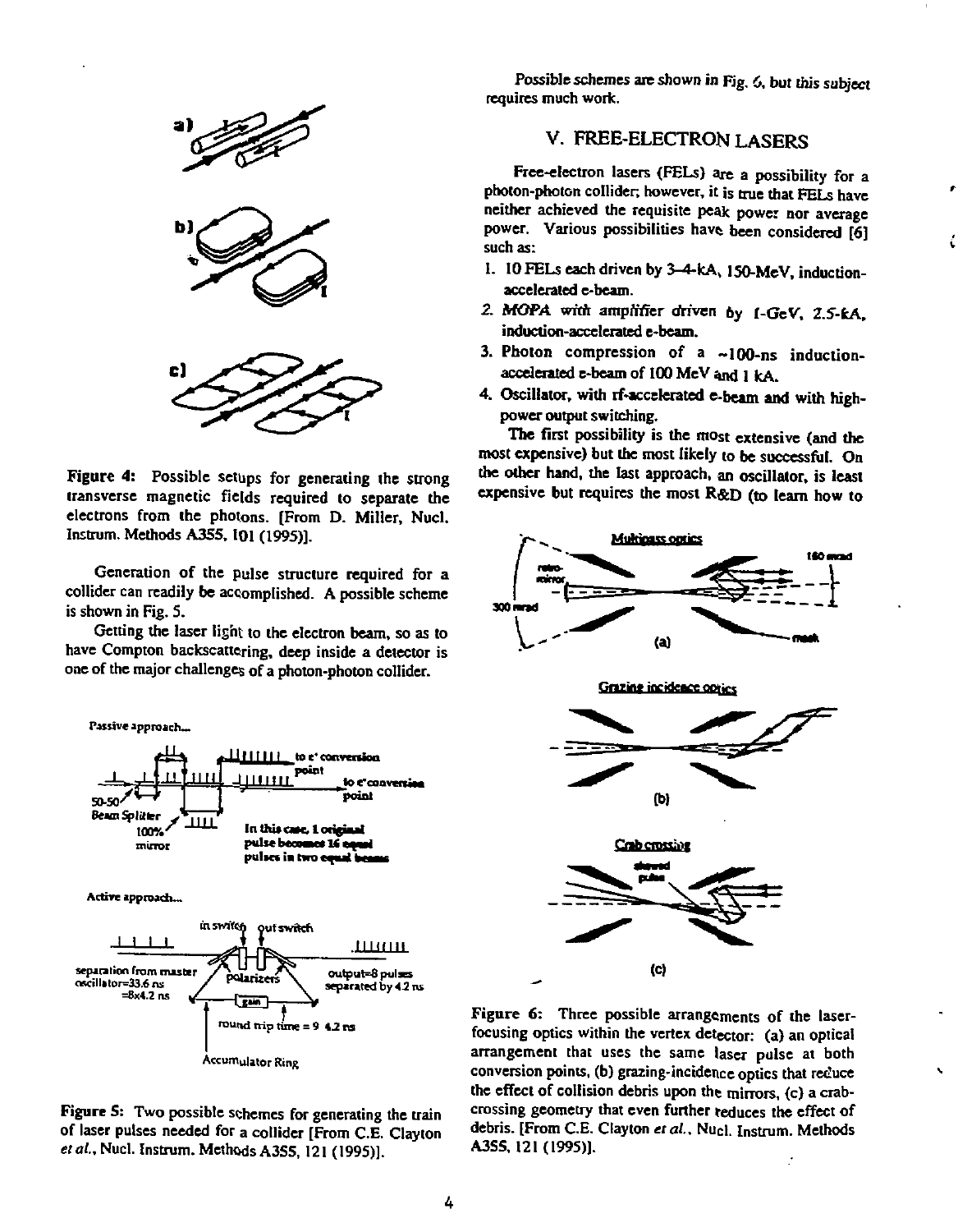





**Figure 4: Possible setups for generating the strong transverse magnetic fields required to separate the electrons from the photons. [From D. Miller, Nucl. Instrum. Methods A3S5.101 (1995)].** 

**Generation of the pulse structure required for a collider can readily be accomplished. A possible scheme is shown in Fig. 5.** 

**Getting the laser light to the electron beam, so as to have Compton backscattering, deep inside a detector is one of the major challenges of a photon-photon collider.** 



**Figure S: Two possible schemes for generating the train of laser pulses needed for a collider [From C.E. Clayton**  *etai,* **Nucl. Instrum. Methods A3SS, 121 (1995)].** 

**Possible schemes are shown in Fig.** *0,* **but this subject requires much work.** 

## **V. FREE-ELECTRON LASERS**

**Free-electron lasers (FELs) are a possibility for a photon-photon collider, however, it is true that FELs have neither achieved the requisite peak power nor average power. Various possibilities have; been considered [6] such as:** 

- **I. 10 FELs each driven by 3-4-kA<sup>v</sup> 150-MeV, inductionaccelerated e-beam.**
- 2. MOPA with amplifier driven by 1-GeV, 2.5-kA, **induction-accelerated e-beam.**
- **3. Photon compression of a -100-ns inductionaccelerated e-beam of 100 MeV and 1 kA.**
- **4. Oscillator, with rf-accelerated e-beam and with highpower output switching.**

**The first possibility is the most extensive (and the most expensive) but the most likely to be successful. On the other hand, the last approach, an oscillator, is least expensive but requires the most R&D (to learn how to** 





 $\ddot{\phantom{0}}$